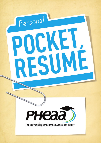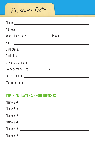# Personal Data

| Work permit? Yes ___________ No _________ |  |
|-------------------------------------------|--|
|                                           |  |
|                                           |  |

#### Important Names & Phone Numbers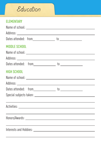## $\mathcal E$ ducation

#### **ELEMENTARY**

| <b>MIDDLE SCHOOL</b> | Name of school: with a series of school of the series of the series of the series of the series of the series of the series of the series of the series of the series of the series of the series of the series of the series |
|----------------------|-------------------------------------------------------------------------------------------------------------------------------------------------------------------------------------------------------------------------------|
|                      |                                                                                                                                                                                                                               |
| <b>HIGH SCHOOL</b>   |                                                                                                                                                                                                                               |
|                      |                                                                                                                                                                                                                               |
|                      |                                                                                                                                                                                                                               |
|                      | <u> 1989 - Johann Stoff, amerikansk politiker (* 1908)</u>                                                                                                                                                                    |
|                      | <u> 1989 - Johann Stoff, amerikansk politiker (* 1908)</u>                                                                                                                                                                    |
|                      | the control of the control of the control of the control of the control of the control of the control of the control of the control of the control of the control of the control of the control of the control of the control |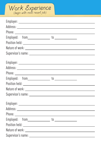

| the control of the control of the con- |
|----------------------------------------|
|                                        |
|                                        |
|                                        |
|                                        |
|                                        |
|                                        |
|                                        |
|                                        |
|                                        |
|                                        |
|                                        |
|                                        |
|                                        |
|                                        |
|                                        |
|                                        |
|                                        |
|                                        |
|                                        |
|                                        |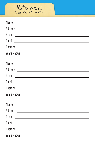